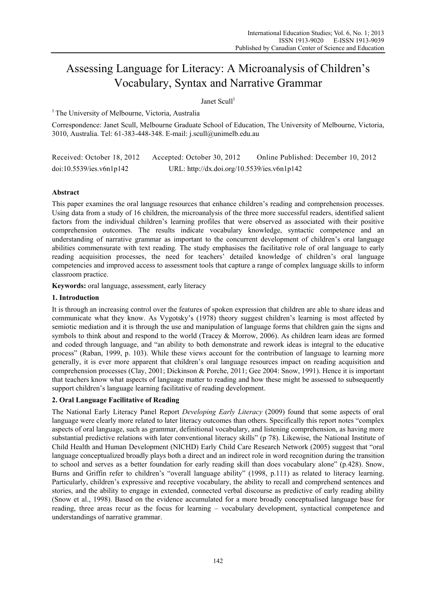# Assessing Language for Literacy: A Microanalysis of Children's Vocabulary, Syntax and Narrative Grammar

# Janet Scull $1$

<sup>1</sup> The University of Melbourne, Victoria, Australia

Correspondence: Janet Scull, Melbourne Graduate School of Education, The University of Melbourne, Victoria, 3010, Australia. Tel: 61-383-448-348. E-mail: j.scull@unimelb.edu.au

Received: October 18, 2012 Accepted: October 30, 2012 Online Published: December 10, 2012 doi:10.5539/ies.v6n1p142 URL: http://dx.doi.org/10.5539/ies.v6n1p142

# **Abstract**

This paper examines the oral language resources that enhance children's reading and comprehension processes. Using data from a study of 16 children, the microanalysis of the three more successful readers, identified salient factors from the individual children's learning profiles that were observed as associated with their positive comprehension outcomes. The results indicate vocabulary knowledge, syntactic competence and an understanding of narrative grammar as important to the concurrent development of children's oral language abilities commensurate with text reading*.* The study emphasises the facilitative role of oral language to early reading acquisition processes, the need for teachers' detailed knowledge of children's oral language competencies and improved access to assessment tools that capture a range of complex language skills to inform classroom practice.

**Keywords:** oral language, assessment, early literacy

# **1. Introduction**

It is through an increasing control over the features of spoken expression that children are able to share ideas and communicate what they know. As Vygotsky's (1978) theory suggest children's learning is most affected by semiotic mediation and it is through the use and manipulation of language forms that children gain the signs and symbols to think about and respond to the world (Tracey & Morrow, 2006). As children learn ideas are formed and coded through language, and "an ability to both demonstrate and rework ideas is integral to the educative process" (Raban, 1999, p. 103). While these views account for the contribution of language to learning more generally, it is ever more apparent that children's oral language resources impact on reading acquisition and comprehension processes (Clay, 2001; Dickinson & Porche, 2011; Gee 2004: Snow, 1991). Hence it is important that teachers know what aspects of language matter to reading and how these might be assessed to subsequently support children's language learning facilitative of reading development.

# **2. Oral Language Facilitative of Reading**

The National Early Literacy Panel Report *Developing Early Literacy* (2009) found that some aspects of oral language were clearly more related to later literacy outcomes than others. Specifically this report notes "complex aspects of oral language, such as grammar, definitional vocabulary, and listening comprehension, as having more substantial predictive relations with later conventional literacy skills" (p 78). Likewise, the National Institute of Child Health and Human Development (NICHD) Early Child Care Research Network (2005) suggest that "oral language conceptualized broadly plays both a direct and an indirect role in word recognition during the transition to school and serves as a better foundation for early reading skill than does vocabulary alone" (p.428). Snow, Burns and Griffin refer to children's "overall language ability" (1998, p.111) as related to literacy learning. Particularly, children's expressive and receptive vocabulary, the ability to recall and comprehend sentences and stories, and the ability to engage in extended, connected verbal discourse as predictive of early reading ability (Snow et al., 1998). Based on the evidence accumulated for a more broadly conceptualised language base for reading, three areas recur as the focus for learning – vocabulary development, syntactical competence and understandings of narrative grammar.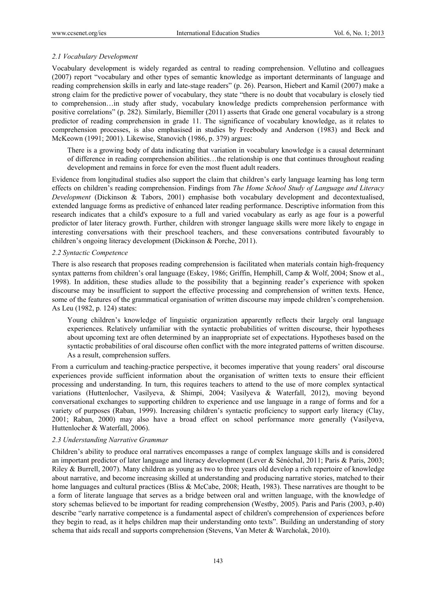## *2.1 Vocabulary Development*

Vocabulary development is widely regarded as central to reading comprehension. Vellutino and colleagues (2007) report "vocabulary and other types of semantic knowledge as important determinants of language and reading comprehension skills in early and late-stage readers" (p. 26). Pearson, Hiebert and Kamil (2007) make a strong claim for the predictive power of vocabulary, they state "there is no doubt that vocabulary is closely tied to comprehension…in study after study, vocabulary knowledge predicts comprehension performance with positive correlations" (p. 282). Similarly, Biemiller (2011) asserts that Grade one general vocabulary is a strong predictor of reading comprehension in grade 11. The significance of vocabulary knowledge, as it relates to comprehension processes, is also emphasised in studies by Freebody and Anderson (1983) and Beck and McKeown (1991; 2001). Likewise, Stanovich (1986, p. 379) argues:

There is a growing body of data indicating that variation in vocabulary knowledge is a causal determinant of difference in reading comprehension abilities…the relationship is one that continues throughout reading development and remains in force for even the most fluent adult readers.

Evidence from longitudinal studies also support the claim that children's early language learning has long term effects on children's reading comprehension. Findings from *The Home School Study of Language and Literacy Development* (Dickinson & Tabors, 2001) emphasise both vocabulary development and decontextualised, extended language forms as predictive of enhanced later reading performance. Descriptive information from this research indicates that a child's exposure to a full and varied vocabulary as early as age four is a powerful predictor of later literacy growth. Further, children with stronger language skills were more likely to engage in interesting conversations with their preschool teachers, and these conversations contributed favourably to children's ongoing literacy development (Dickinson & Porche, 2011).

### *2.2 Syntactic Competence*

There is also research that proposes reading comprehension is facilitated when materials contain high-frequency syntax patterns from children's oral language (Eskey, 1986; Griffin, Hemphill, Camp & Wolf, 2004; Snow et al., 1998). In addition, these studies allude to the possibility that a beginning reader's experience with spoken discourse may be insufficient to support the effective processing and comprehension of written texts. Hence, some of the features of the grammatical organisation of written discourse may impede children's comprehension. As Leu (1982, p. 124) states:

Young children's knowledge of linguistic organization apparently reflects their largely oral language experiences. Relatively unfamiliar with the syntactic probabilities of written discourse, their hypotheses about upcoming text are often determined by an inappropriate set of expectations. Hypotheses based on the syntactic probabilities of oral discourse often conflict with the more integrated patterns of written discourse. As a result, comprehension suffers.

From a curriculum and teaching-practice perspective, it becomes imperative that young readers' oral discourse experiences provide sufficient information about the organisation of written texts to ensure their efficient processing and understanding. In turn, this requires teachers to attend to the use of more complex syntactical variations (Huttenlocher, Vasilyeva, & Shimpi, 2004; Vasilyeva & Waterfall, 2012), moving beyond conversational exchanges to supporting children to experience and use language in a range of forms and for a variety of purposes (Raban, 1999). Increasing children's syntactic proficiency to support early literacy (Clay, 2001; Raban, 2000) may also have a broad effect on school performance more generally (Vasilyeva, Huttenlocher & Waterfall, 2006).

# *2.3 Understanding Narrative Grammar*

Children's ability to produce oral narratives encompasses a range of complex language skills and is considered an important predictor of later language and literacy development (Lever & Sénéchal, 2011; Paris & Paris, 2003; Riley & Burrell, 2007). Many children as young as two to three years old develop a rich repertoire of knowledge about narrative, and become increasing skilled at understanding and producing narrative stories, matched to their home languages and cultural practices (Bliss & McCabe, 2008; Heath, 1983). These narratives are thought to be a form of literate language that serves as a bridge between oral and written language, with the knowledge of story schemas believed to be important for reading comprehension (Westby, 2005). Paris and Paris (2003, p.40) describe "early narrative competence is a fundamental aspect of children's comprehension of experiences before they begin to read, as it helps children map their understanding onto texts". Building an understanding of story schema that aids recall and supports comprehension (Stevens, Van Meter & Warcholak, 2010).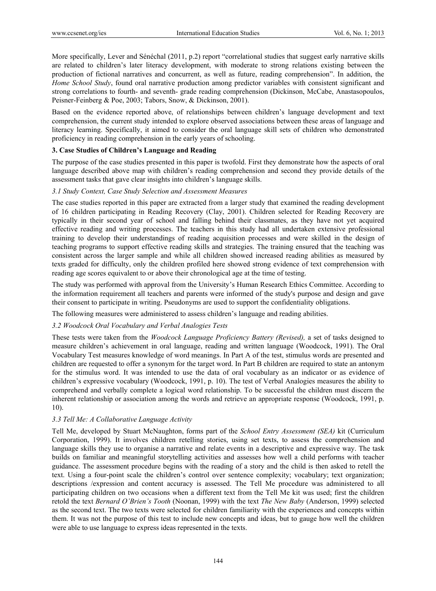More specifically, Lever and Sénéchal (2011, p.2) report "correlational studies that suggest early narrative skills are related to children's later literacy development, with moderate to strong relations existing between the production of fictional narratives and concurrent, as well as future, reading comprehension". In addition, the *Home School Study*, found oral narrative production among predictor variables with consistent significant and strong correlations to fourth- and seventh- grade reading comprehension (Dickinson, McCabe, Anastasopoulos, Peisner-Feinberg & Poe, 2003; Tabors, Snow, & Dickinson, 2001).

Based on the evidence reported above, of relationships between children's language development and text comprehension, the current study intended to explore observed associations between these areas of language and literacy learning. Specifically, it aimed to consider the oral language skill sets of children who demonstrated proficiency in reading comprehension in the early years of schooling.

## **3. Case Studies of Children's Language and Reading**

The purpose of the case studies presented in this paper is twofold. First they demonstrate how the aspects of oral language described above map with children's reading comprehension and second they provide details of the assessment tasks that gave clear insights into children's language skills.

## *3.1 Study Context, Case Study Selection and Assessment Measures*

The case studies reported in this paper are extracted from a larger study that examined the reading development of 16 children participating in Reading Recovery (Clay, 2001). Children selected for Reading Recovery are typically in their second year of school and falling behind their classmates, as they have not yet acquired effective reading and writing processes. The teachers in this study had all undertaken extensive professional training to develop their understandings of reading acquisition processes and were skilled in the design of teaching programs to support effective reading skills and strategies. The training ensured that the teaching was consistent across the larger sample and while all children showed increased reading abilities as measured by texts graded for difficulty, only the children profiled here showed strong evidence of text comprehension with reading age scores equivalent to or above their chronological age at the time of testing.

The study was performed with approval from the University's Human Research Ethics Committee. According to the information requirement all teachers and parents were informed of the study's purpose and design and gave their consent to participate in writing. Pseudonyms are used to support the confidentiality obligations.

The following measures were administered to assess children's language and reading abilities.

### *3.2 Woodcock Oral Vocabulary and Verbal Analogies Tests*

These tests were taken from the *Woodcock Language Proficiency Battery (Revised),* a set of tasks designed to measure children's achievement in oral language, reading and written language (Woodcock, 1991). The Oral Vocabulary Test measures knowledge of word meanings. In Part A of the test, stimulus words are presented and children are requested to offer a synonym for the target word. In Part B children are required to state an antonym for the stimulus word. It was intended to use the data of oral vocabulary as an indicator or as evidence of children's expressive vocabulary (Woodcock, 1991, p. 10). The test of Verbal Analogies measures the ability to comprehend and verbally complete a logical word relationship. To be successful the children must discern the inherent relationship or association among the words and retrieve an appropriate response (Woodcock, 1991, p. 10).

# *3.3 Tell Me: A Collaborative Language Activity*

Tell Me, developed by Stuart McNaughton, forms part of the *School Entry Assessment (SEA)* kit (Curriculum Corporation, 1999). It involves children retelling stories, using set texts, to assess the comprehension and language skills they use to organise a narrative and relate events in a descriptive and expressive way. The task builds on familiar and meaningful storytelling activities and assesses how well a child performs with teacher guidance. The assessment procedure begins with the reading of a story and the child is then asked to retell the text. Using a four-point scale the children's control over sentence complexity; vocabulary; text organization; descriptions /expression and content accuracy is assessed. The Tell Me procedure was administered to all participating children on two occasions when a different text from the Tell Me kit was used; first the children retold the text *Bernard O'Brien's Tooth* (Noonan, 1999) with the text *The New Baby* (Anderson, 1999) selected as the second text. The two texts were selected for children familiarity with the experiences and concepts within them. It was not the purpose of this test to include new concepts and ideas, but to gauge how well the children were able to use language to express ideas represented in the texts.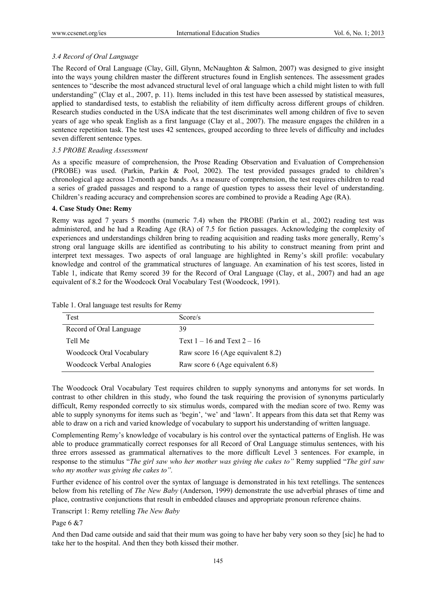## *3.4 Record of Oral Language*

The Record of Oral Language (Clay, Gill, Glynn, McNaughton & Salmon, 2007) was designed to give insight into the ways young children master the different structures found in English sentences. The assessment grades sentences to "describe the most advanced structural level of oral language which a child might listen to with full understanding" (Clay et al., 2007, p. 11). Items included in this test have been assessed by statistical measures, applied to standardised tests, to establish the reliability of item difficulty across different groups of children. Research studies conducted in the USA indicate that the test discriminates well among children of five to seven years of age who speak English as a first language (Clay et al., 2007). The measure engages the children in a sentence repetition task. The test uses 42 sentences, grouped according to three levels of difficulty and includes seven different sentence types.

# *3.5 PROBE Reading Assessment*

As a specific measure of comprehension, the Prose Reading Observation and Evaluation of Comprehension (PROBE) was used. (Parkin, Parkin & Pool, 2002). The test provided passages graded to children's chronological age across 12-month age bands. As a measure of comprehension, the test requires children to read a series of graded passages and respond to a range of question types to assess their level of understanding. Children's reading accuracy and comprehension scores are combined to provide a Reading Age (RA).

### **4. Case Study One: Remy**

Remy was aged 7 years 5 months (numeric 7.4) when the PROBE (Parkin et al., 2002) reading test was administered, and he had a Reading Age (RA) of 7.5 for fiction passages. Acknowledging the complexity of experiences and understandings children bring to reading acquisition and reading tasks more generally, Remy's strong oral language skills are identified as contributing to his ability to construct meaning from print and interpret text messages. Two aspects of oral language are highlighted in Remy's skill profile: vocabulary knowledge and control of the grammatical structures of language. An examination of his test scores, listed in Table 1, indicate that Remy scored 39 for the Record of Oral Language (Clay, et al., 2007) and had an age equivalent of 8.2 for the Woodcock Oral Vocabulary Test (Woodcock, 1991).

| Test                             | Score/s                           |
|----------------------------------|-----------------------------------|
| Record of Oral Language          | 39                                |
| Tell Me                          | Text $1 - 16$ and Text $2 - 16$   |
| Woodcock Oral Vocabulary         | Raw score 16 (Age equivalent 8.2) |
| <b>Woodcock Verbal Analogies</b> | Raw score 6 (Age equivalent 6.8)  |

Table 1. Oral language test results for Remy

The Woodcock Oral Vocabulary Test requires children to supply synonyms and antonyms for set words. In contrast to other children in this study, who found the task requiring the provision of synonyms particularly difficult, Remy responded correctly to six stimulus words, compared with the median score of two. Remy was able to supply synonyms for items such as 'begin', 'we' and 'lawn'. It appears from this data set that Remy was able to draw on a rich and varied knowledge of vocabulary to support his understanding of written language.

Complementing Remy's knowledge of vocabulary is his control over the syntactical patterns of English. He was able to produce grammatically correct responses for all Record of Oral Language stimulus sentences, with his three errors assessed as grammatical alternatives to the more difficult Level 3 sentences. For example, in response to the stimulus "*The girl saw who her mother was giving the cakes to"* Remy supplied "*The girl saw who my mother was giving the cakes to".*

Further evidence of his control over the syntax of language is demonstrated in his text retellings. The sentences below from his retelling of *The New Baby* (Anderson, 1999) demonstrate the use adverbial phrases of time and place, contrastive conjunctions that result in embedded clauses and appropriate pronoun reference chains.

Transcript 1: Remy retelling *The New Baby* 

Page 6 &7

And then Dad came outside and said that their mum was going to have her baby very soon so they [sic] he had to take her to the hospital. And then they both kissed their mother.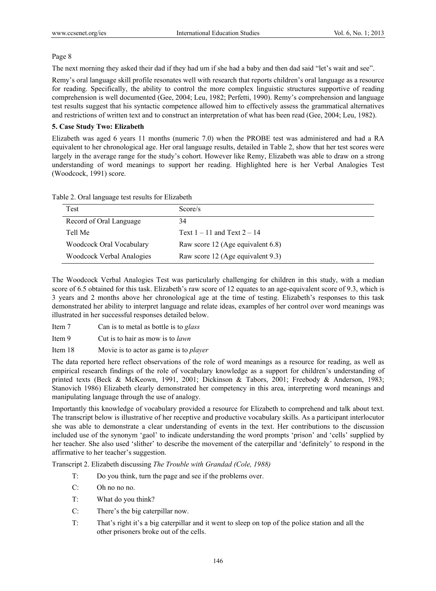## Page 8

The next morning they asked their dad if they had um if she had a baby and then dad said "let's wait and see".

Remy's oral language skill profile resonates well with research that reports children's oral language as a resource for reading. Specifically, the ability to control the more complex linguistic structures supportive of reading comprehension is well documented (Gee, 2004; Leu, 1982; Perfetti, 1990). Remy's comprehension and language test results suggest that his syntactic competence allowed him to effectively assess the grammatical alternatives and restrictions of written text and to construct an interpretation of what has been read (Gee, 2004; Leu, 1982).

## **5. Case Study Two: Elizabeth**

Elizabeth was aged 6 years 11 months (numeric 7.0) when the PROBE test was administered and had a RA equivalent to her chronological age. Her oral language results, detailed in Table 2, show that her test scores were largely in the average range for the study's cohort. However like Remy, Elizabeth was able to draw on a strong understanding of word meanings to support her reading. Highlighted here is her Verbal Analogies Test (Woodcock, 1991) score.

| Test                             | Score/s                           |
|----------------------------------|-----------------------------------|
| Record of Oral Language          | 34                                |
| Tell Me                          | Text $1 - 11$ and Text $2 - 14$   |
| Woodcock Oral Vocabulary         | Raw score 12 (Age equivalent 6.8) |
| <b>Woodcock Verbal Analogies</b> | Raw score 12 (Age equivalent 9.3) |

Table 2. Oral language test results for Elizabeth

The Woodcock Verbal Analogies Test was particularly challenging for children in this study, with a median score of 6.5 obtained for this task. Elizabeth's raw score of 12 equates to an age-equivalent score of 9.3, which is 3 years and 2 months above her chronological age at the time of testing. Elizabeth's responses to this task demonstrated her ability to interpret language and relate ideas, examples of her control over word meanings was illustrated in her successful responses detailed below.

- Item 7 Can is to metal as bottle is to *glass*
- Item 9 Cut is to hair as mow is to *lawn*

Item 18 Movie is to actor as game is to *player*

The data reported here reflect observations of the role of word meanings as a resource for reading, as well as empirical research findings of the role of vocabulary knowledge as a support for children's understanding of printed texts (Beck & McKeown, 1991, 2001; Dickinson & Tabors, 2001; Freebody & Anderson, 1983; Stanovich 1986) Elizabeth clearly demonstrated her competency in this area, interpreting word meanings and manipulating language through the use of analogy.

Importantly this knowledge of vocabulary provided a resource for Elizabeth to comprehend and talk about text. The transcript below is illustrative of her receptive and productive vocabulary skills. As a participant interlocutor she was able to demonstrate a clear understanding of events in the text. Her contributions to the discussion included use of the synonym 'gaol' to indicate understanding the word prompts 'prison' and 'cells' supplied by her teacher. She also used 'slither' to describe the movement of the caterpillar and 'definitely' to respond in the affirmative to her teacher's suggestion.

Transcript 2. Elizabeth discussing *The Trouble with Grandad (Cole, 1988)* 

- T: Do you think, turn the page and see if the problems over.
- C: Oh no no no.
- T: What do you think?
- C: There's the big caterpillar now.
- T: That's right it's a big caterpillar and it went to sleep on top of the police station and all the other prisoners broke out of the cells.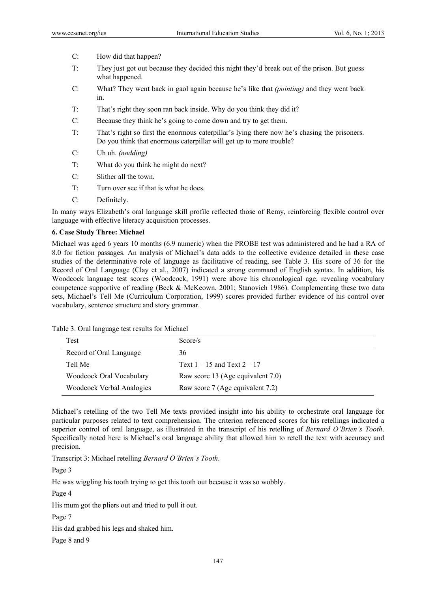- C: How did that happen?
- T: They just got out because they decided this night they'd break out of the prison. But guess what happened.
- C: What? They went back in gaol again because he's like that *(pointing)* and they went back in.
- T: That's right they soon ran back inside. Why do you think they did it?
- C: Because they think he's going to come down and try to get them.
- T: That's right so first the enormous caterpillar's lying there now he's chasing the prisoners. Do you think that enormous caterpillar will get up to more trouble?
- C: Uh uh. *(nodding)*
- T: What do you think he might do next?
- C: Slither all the town.
- T: Turn over see if that is what he does.
- C: Definitely.

In many ways Elizabeth's oral language skill profile reflected those of Remy, reinforcing flexible control over language with effective literacy acquisition processes.

### **6. Case Study Three: Michael**

Michael was aged 6 years 10 months (6.9 numeric) when the PROBE test was administered and he had a RA of 8.0 for fiction passages. An analysis of Michael's data adds to the collective evidence detailed in these case studies of the determinative role of language as facilitative of reading, see Table 3. His score of 36 for the Record of Oral Language (Clay et al., 2007) indicated a strong command of English syntax. In addition, his Woodcock language test scores (Woodcock, 1991) were above his chronological age, revealing vocabulary competence supportive of reading (Beck & McKeown, 2001; Stanovich 1986). Complementing these two data sets, Michael's Tell Me (Curriculum Corporation, 1999) scores provided further evidence of his control over vocabulary, sentence structure and story grammar.

| Test                             | Score/s                           |
|----------------------------------|-----------------------------------|
| Record of Oral Language          | 36                                |
| Tell Me                          | Text $1 - 15$ and Text $2 - 17$   |
| Woodcock Oral Vocabulary         | Raw score 13 (Age equivalent 7.0) |
| <b>Woodcock Verbal Analogies</b> | Raw score 7 (Age equivalent 7.2)  |

Michael's retelling of the two Tell Me texts provided insight into his ability to orchestrate oral language for particular purposes related to text comprehension. The criterion referenced scores for his retellings indicated a superior control of oral language, as illustrated in the transcript of his retelling of *Bernard O'Brien's Tooth*. Specifically noted here is Michael's oral language ability that allowed him to retell the text with accuracy and precision.

Transcript 3: Michael retelling *Bernard O'Brien's Tooth*.

Page 3

He was wiggling his tooth trying to get this tooth out because it was so wobbly.

Page 4

His mum got the pliers out and tried to pull it out.

Page 7

His dad grabbed his legs and shaked him.

Page 8 and 9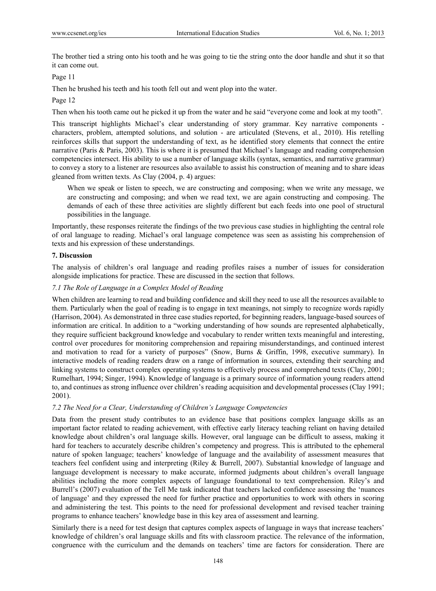The brother tied a string onto his tooth and he was going to tie the string onto the door handle and shut it so that it can come out.

#### Page 11

Then he brushed his teeth and his tooth fell out and went plop into the water.

#### Page 12

Then when his tooth came out he picked it up from the water and he said "everyone come and look at my tooth".

This transcript highlights Michael's clear understanding of story grammar. Key narrative components characters, problem, attempted solutions, and solution - are articulated (Stevens, et al., 2010). His retelling reinforces skills that support the understanding of text, as he identified story elements that connect the entire narrative (Paris & Paris, 2003). This is where it is presumed that Michael's language and reading comprehension competencies intersect. His ability to use a number of language skills (syntax, semantics, and narrative grammar) to convey a story to a listener are resources also available to assist his construction of meaning and to share ideas gleaned from written texts. As Clay (2004, p. 4) argues:

When we speak or listen to speech, we are constructing and composing; when we write any message, we are constructing and composing; and when we read text, we are again constructing and composing. The demands of each of these three activities are slightly different but each feeds into one pool of structural possibilities in the language.

Importantly, these responses reiterate the findings of the two previous case studies in highlighting the central role of oral language to reading. Michael's oral language competence was seen as assisting his comprehension of texts and his expression of these understandings.

#### **7. Discussion**

The analysis of children's oral language and reading profiles raises a number of issues for consideration alongside implications for practice. These are discussed in the section that follows.

### *7.1 The Role of Language in a Complex Model of Reading*

When children are learning to read and building confidence and skill they need to use all the resources available to them. Particularly when the goal of reading is to engage in text meanings, not simply to recognize words rapidly (Harrison, 2004). As demonstrated in three case studies reported, for beginning readers, language-based sources of information are critical. In addition to a "working understanding of how sounds are represented alphabetically, they require sufficient background knowledge and vocabulary to render written texts meaningful and interesting, control over procedures for monitoring comprehension and repairing misunderstandings, and continued interest and motivation to read for a variety of purposes" (Snow, Burns & Griffin, 1998, executive summary). In interactive models of reading readers draw on a range of information in sources, extending their searching and linking systems to construct complex operating systems to effectively process and comprehend texts (Clay, 2001; Rumelhart, 1994; Singer, 1994). Knowledge of language is a primary source of information young readers attend to, and continues as strong influence over children's reading acquisition and developmental processes (Clay 1991; 2001).

### *7.2 The Need for a Clear, Understanding of Children's Language Competencies*

Data from the present study contributes to an evidence base that positions complex language skills as an important factor related to reading achievement, with effective early literacy teaching reliant on having detailed knowledge about children's oral language skills. However, oral language can be difficult to assess, making it hard for teachers to accurately describe children's competency and progress. This is attributed to the ephemeral nature of spoken language; teachers' knowledge of language and the availability of assessment measures that teachers feel confident using and interpreting (Riley & Burrell, 2007). Substantial knowledge of language and language development is necessary to make accurate, informed judgments about children's overall language abilities including the more complex aspects of language foundational to text comprehension. Riley's and Burrell's (2007) evaluation of the Tell Me task indicated that teachers lacked confidence assessing the 'nuances of language' and they expressed the need for further practice and opportunities to work with others in scoring and administering the test. This points to the need for professional development and revised teacher training programs to enhance teachers' knowledge base in this key area of assessment and learning.

Similarly there is a need for test design that captures complex aspects of language in ways that increase teachers' knowledge of children's oral language skills and fits with classroom practice. The relevance of the information, congruence with the curriculum and the demands on teachers' time are factors for consideration. There are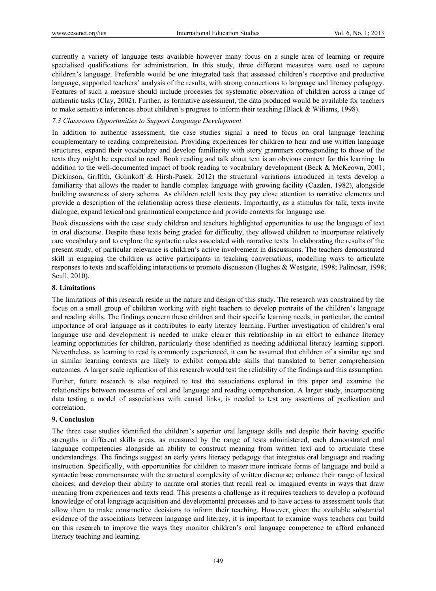currently a variety of language tests available however many focus on a single area of learning or require specialised qualifications for administration. In this study, three different measures were used to capture children's language. Preferable would be one integrated task that assessed children's receptive and productive language, supported teachers' analysis of the results, with strong connections to language and literacy pedagogy. Features of such a measure should include processes for systematic observation of children across a range of authentic tasks (Clay, 2002). Further, as formative assessment, the data produced would be available for teachers to make sensitive inferences about children's progress to inform their teaching (Black & Wiliams, 1998).

#### *7.3 Classroom Opportunities to Support Language Development*

In addition to authentic assessment, the case studies signal a need to focus on oral language teaching complementary to reading comprehension. Providing experiences for children to hear and use written language structures, expand their vocabulary and develop familiarity with story grammars corresponding to those of the texts they might be expected to read. Book reading and talk about text is an obvious context for this learning. In addition to the well-documented impact of book reading to vocabulary development (Beck & McKeown, 2001; Dickinson, Griffith, Golinkoff & Hirsh-Pasek. 2012) the structural variations introduced in texts develop a familiarity that allows the reader to handle complex language with growing facility (Cazden, 1982), alongside building awareness of story schema. As children retell texts they pay close attention to narrative elements and provide a description of the relationship across these elements. Importantly, as a stimulus for talk, texts invite dialogue, expand lexical and grammatical competence and provide contexts for language use.

Book discussions with the case study children and teachers highlighted opportunities to use the language of text in oral discourse. Despite these texts being graded for difficulty, they allowed children to incorporate relatively rare vocabulary and to explore the syntactic rules associated with narrative texts. In elaborating the results of the present study, of particular relevance is children's active involvement in discussions. The teachers demonstrated skill in engaging the children as active participants in teaching conversations, modelling ways to articulate responses to texts and scaffolding interactions to promote discussion (Hughes & Westgate, 1998; Palincsar, 1998; Scull, 2010).

### **8. Limitations**

The limitations of this research reside in the nature and design of this study. The research was constrained by the focus on a small group of children working with eight teachers to develop portraits of the children's language and reading skills. The findings concern these children and their specific learning needs; in particular, the central importance of oral language as it contributes to early literacy learning. Further investigation of children's oral language use and development is needed to make clearer this relationship in an effort to enhance literacy learning opportunities for children, particularly those identified as needing additional literacy learning support. Nevertheless, as learning to read is commonly experienced, it can be assumed that children of a similar age and in similar learning contexts are likely to exhibit comparable skills that translated to better comprehension outcomes. A larger scale replication of this research would test the reliability of the findings and this assumption.

Further, future research is also required to test the associations explored in this paper and examine the relationships between measures of oral and language and reading comprehension. A larger study, incorporating data testing a model of associations with causal links, is needed to test any assertions of predication and correlation.

#### **9. Conclusion**

The three case studies identified the children's superior oral language skills and despite their having specific strengths in different skills areas, as measured by the range of tests administered, each demonstrated oral language competencies alongside an ability to construct meaning from written text and to articulate these understandings. The findings suggest an early years literacy pedagogy that integrates oral language and reading instruction. Specifically, with opportunities for children to master more intricate forms of language and build a syntactic base commensurate with the structural complexity of written discourse; enhance their range of lexical choices; and develop their ability to narrate oral stories that recall real or imagined events in ways that draw meaning from experiences and texts read. This presents a challenge as it requires teachers to develop a profound knowledge of oral language acquisition and developmental processes and to have access to assessment tools that allow them to make constructive decisions to inform their teaching. However, given the available substantial evidence of the associations between language and literacy, it is important to examine ways teachers can build on this research to improve the ways they monitor children's oral language competence to afford enhanced literacy teaching and learning.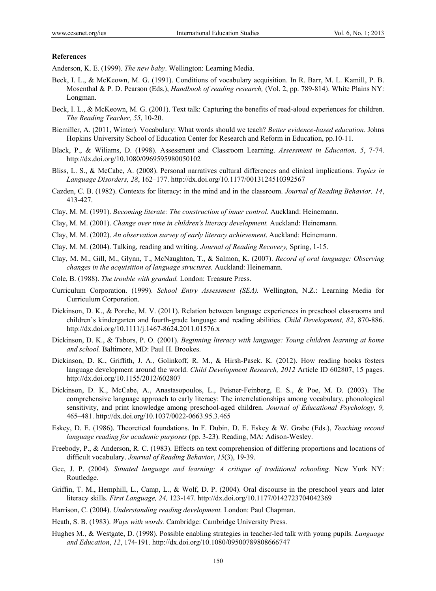#### **References**

Anderson, K. E. (1999). *The new baby*. Wellington: Learning Media.

- Beck, I. L., & McKeown, M. G. (1991). Conditions of vocabulary acquisition. In R. Barr, M. L. Kamill, P. B. Mosenthal & P. D. Pearson (Eds.), *Handbook of reading research,* (Vol. 2, pp. 789-814). White Plains NY: Longman.
- Beck, I. L., & McKeown, M. G. (2001). Text talk: Capturing the benefits of read-aloud experiences for children. *The Reading Teacher, 55*, 10-20.
- Biemiller, A. (2011, Winter). Vocabulary: What words should we teach? *Better evidence-based education.* Johns Hopkins University School of Education Center for Research and Reform in Education, pp.10-11.
- Black, P., & Wiliams, D. (1998). Assessment and Classroom Learning. *Assessment in Education, 5*, 7-74. http://dx.doi.org/10.1080/0969595980050102
- Bliss, L. S., & McCabe, A. (2008). Personal narratives cultural differences and clinical implications. *Topics in Language Disorders, 28*, 162–177. http://dx.doi.org/10.1177/0013124510392567
- Cazden, C. B. (1982). Contexts for literacy: in the mind and in the classroom. *Journal of Reading Behavior, 14*, 413-427.
- Clay, M. M. (1991). *Becoming literate: The construction of inner control.* Auckland: Heinemann.
- Clay, M. M. (2001). *Change over time in children's literacy development.* Auckland: Heinemann.
- Clay, M. M. (2002). *An observation survey of early literacy achievement*. Auckland: Heinemann.
- Clay, M. M. (2004). Talking, reading and writing. *Journal of Reading Recovery,* Spring, 1-15.
- Clay, M. M., Gill, M., Glynn, T., McNaughton, T., & Salmon, K. (2007). *Record of oral language: Observing changes in the acquisition of language structures.* Auckland: Heinemann.
- Cole, B. (1988). *The trouble with grandad.* London: Treasure Press.
- Curriculum Corporation. (1999). *School Entry Assessment (SEA).* Wellington, N.Z.: Learning Media for Curriculum Corporation.
- Dickinson, D. K., & Porche, M. V. (2011). Relation between language experiences in preschool classrooms and children's kindergarten and fourth-grade language and reading abilities. *Child Development, 82*, 870-886. http://dx.doi.org/10.1111/j.1467-8624.2011.01576.x
- Dickinson, D. K., & Tabors, P. O. (2001). *Beginning literacy with language: Young children learning at home and school.* Baltimore, MD: Paul H. Brookes.
- Dickinson, D. K., Griffith, J. A., Golinkoff, R. M., & Hirsh-Pasek. K. (2012). How reading books fosters language development around the world. *Child Development Research, 2012* Article ID 602807, 15 pages. http://dx.doi.org/10.1155/2012/602807
- Dickinson, D. K., McCabe, A., Anastasopoulos, L., Peisner-Feinberg, E. S., & Poe, M. D. (2003). The comprehensive language approach to early literacy: The interrelationships among vocabulary, phonological sensitivity, and print knowledge among preschool-aged children. *Journal of Educational Psychology, 9,* 465–481. http://dx.doi.org/10.1037/0022-0663.95.3.465
- Eskey, D. E. (1986). Theoretical foundations. In F. Dubin, D. E. Eskey & W. Grabe (Eds.), *Teaching second language reading for academic purposes* (pp. 3-23). Reading, MA: Adison-Wesley.
- Freebody, P., & Anderson, R. C. (1983). Effects on text comprehension of differing proportions and locations of difficult vocabulary. *Journal of Reading Behavior*, *15*(3), 19-39.
- Gee, J. P. (2004). *Situated language and learning: A critique of traditional schooling.* New York NY: Routledge.
- Griffin, T. M., Hemphill, L., Camp, L., & Wolf, D. P. (2004). Oral discourse in the preschool years and later literacy skills. *First Language, 24,* 123-147. http://dx.doi.org/10.1177/0142723704042369
- Harrison, C. (2004). *Understanding reading development.* London: Paul Chapman.
- Heath, S. B. (1983). *Ways with words.* Cambridge: Cambridge University Press.
- Hughes M., & Westgate, D. (1998). Possible enabling strategies in teacher-led talk with young pupils. *Language and Education*, *12*, 174-191. http://dx.doi.org/10.1080/09500789808666747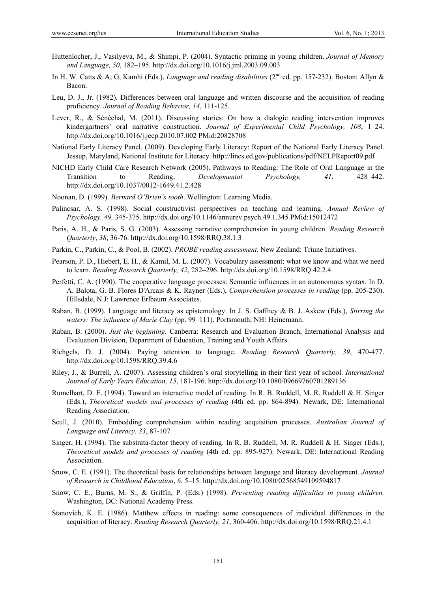- Huttenlocher, J., Vasilyeva, M., & Shimpi, P. (2004). Syntactic priming in young children. *Journal of Memory and Language, 50*, 182–195. http://dx.doi.org/10.1016/j.jml.2003.09.003
- In H. W. Catts & A, G, Kamhi (Eds.), *Language and reading disabilities* (2<sup>nd</sup> ed. pp. 157-232). Boston: Allyn & Bacon.
- Leu, D. J., Jr. (1982). Differences between oral language and written discourse and the acquisition of reading proficiency. *Journal of Reading Behavior, 14*, 111-125.
- Lever, R., & Sénéchal, M. (2011). Discussing stories: On how a dialogic reading intervention improves kindergartners' oral narrative construction. *Journal of Experimental Child Psychology, 108*, 1–24. http://dx.doi.org/10.1016/j.jecp.2010.07.002 PMid:20828708
- National Early Literacy Panel. (2009). Developing Early Literacy: Report of the National Early Literacy Panel. Jessup, Maryland, National Institute for Literacy. http://lincs.ed.gov/publications/pdf/NELPReport09.pdf
- NICHD Early Child Care Research Network (2005). Pathways to Reading: The Role of Oral Language in the Transition to Reading, *Developmental Psychology, 41*, 428–442. http://dx.doi.org/10.1037/0012-1649.41.2.428
- Noonan, D. (1999). *Bernard O'Brien's tooth*. Wellington: Learning Media.
- Palincsar, A. S. (1998). Social constructivist perspectives on teaching and learning. *Annual Review of Psychology, 49,* 345-375. http://dx.doi.org/10.1146/annurev.psych.49.1.345 PMid:15012472
- Paris, A. H., & Paris, S. G. (2003). Assessing narrative comprehension in young children. *Reading Research Quarterly*, *38*, 36-76. http://dx.doi.org/10.1598/RRQ.38.1.3
- Parkin, C., Parkin, C., & Pool, B. (2002). *PROBE reading assessment*. New Zealand: Triune Initiatives.
- Pearson, P. D., Hiebert, E. H., & Kamil, M. L. (2007). Vocabulary assessment: what we know and what we need to learn. *Reading Research Quarterly, 42*, 282–296. http://dx.doi.org/10.1598/RRQ.42.2.4
- Perfetti, C. A. (1990). The cooperative language processes: Semantic influences in an autonomous syntax. In D. A. Balota, G. B. Flores D'Arcais & K. Rayner (Eds.), *Comprehension processes in reading* (pp. 205-230). Hillsdale, N.J: Lawrence Erlbaum Associates.
- Raban, B. (1999). Language and literacy as epistemology. In J. S. Gaffney & B. J. Askew (Eds.), *Stirring the waters: The influence of Marie Clay* (pp. 99–111). Portsmouth, NH: Heinemann.
- Raban, B. (2000). *Just the beginning*. Canberra: Research and Evaluation Branch, International Analysis and Evaluation Division, Department of Education, Training and Youth Affairs.
- Richgels, D. J. (2004). Paying attention to language. *Reading Research Quarterly, 39*, 470-477. http://dx.doi.org/10.1598/RRQ.39.4.6
- Riley, J., & Burrell, A. (2007). Assessing children's oral storytelling in their first year of school. *International Journal of Early Years Education, 15*, 181-196. http://dx.doi.org/10.1080/09669760701289136
- Rumelhart, D. E. (1994). Toward an interactive model of reading. In R. B. Ruddell, M. R. Ruddell & H. Singer (Eds.), *Theoretical models and processes of reading* (4th ed. pp. 864-894). Newark, DE: International Reading Association.
- Scull, J. (2010). Embedding comprehension within reading acquisition processes. *Australian Journal of Language and Literacy. 33*, 87-107*.*
- Singer, H. (1994). The substrata-factor theory of reading. In R. B. Ruddell, M. R. Ruddell & H. Singer (Eds.), *Theoretical models and processes of reading* (4th ed. pp. 895-927). Newark, DE: International Reading Association.
- Snow, C. E. (1991). The theoretical basis for relationships between language and literacy development. *Journal of Research in Childhood Education*, *6*, 5–15. http://dx.doi.org/10.1080/02568549109594817
- Snow, C. E., Burns, M. S., & Griffin, P. (Eds.) (1998). *Preventing reading difficulties in young children.* Washington, DC: National Academy Press.
- Stanovich, K. E. (1986). Matthew effects in reading: some consequences of individual differences in the acquisition of literacy. *Reading Research Quarterly, 21*, 360-406. http://dx.doi.org/10.1598/RRQ.21.4.1